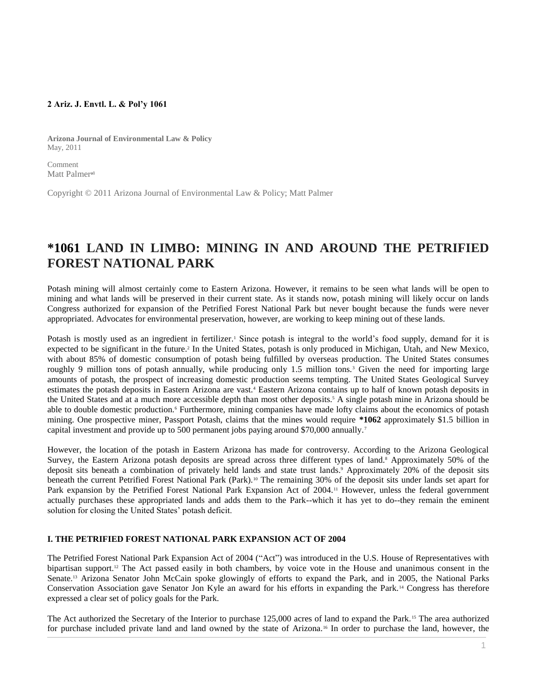#### **2 Ariz. J. Envtl. L. & Pol'y 1061**

**Arizona Journal of Environmental Law & Policy** May, 2011

Comment Matt Palmer<sup>al</sup>

Copyright © 2011 Arizona Journal of Environmental Law & Policy; Matt Palmer

# **\*1061 LAND IN LIMBO: MINING IN AND AROUND THE PETRIFIED FOREST NATIONAL PARK**

Potash mining will almost certainly come to Eastern Arizona. However, it remains to be seen what lands will be open to mining and what lands will be preserved in their current state. As it stands now, potash mining will likely occur on lands Congress authorized for expansion of the Petrified Forest National Park but never bought because the funds were never appropriated. Advocates for environmental preservation, however, are working to keep mining out of these lands.

Potash is mostly used as an ingredient in fertilizer.<sup>1</sup> Since potash is integral to the world's food supply, demand for it is expected to be significant in the future.<sup>2</sup> In the United States, potash is only produced in Michigan, Utah, and New Mexico, with about 85% of domestic consumption of potash being fulfilled by overseas production. The United States consumes roughly 9 million tons of potash annually, while producing only 1.5 million tons.<sup>3</sup> Given the need for importing large amounts of potash, the prospect of increasing domestic production seems tempting. The United States Geological Survey estimates the potash deposits in Eastern Arizona are vast.<sup>4</sup> Eastern Arizona contains up to half of known potash deposits in the United States and at a much more accessible depth than most other deposits.<sup>5</sup> A single potash mine in Arizona should be able to double domestic production.<sup>6</sup> Furthermore, mining companies have made lofty claims about the economics of potash mining. One prospective miner, Passport Potash, claims that the mines would require **\*1062** approximately \$1.5 billion in capital investment and provide up to 500 permanent jobs paying around \$70,000 annually. <sup>7</sup>

However, the location of the potash in Eastern Arizona has made for controversy. According to the Arizona Geological Survey, the Eastern Arizona potash deposits are spread across three different types of land.<sup>8</sup> Approximately 50% of the deposit sits beneath a combination of privately held lands and state trust lands.<sup>9</sup> Approximately 20% of the deposit sits beneath the current Petrified Forest National Park (Park).<sup>10</sup> The remaining 30% of the deposit sits under lands set apart for Park expansion by the Petrified Forest National Park Expansion Act of 2004.<sup>11</sup> However, unless the federal government actually purchases these appropriated lands and adds them to the Park--which it has yet to do--they remain the eminent solution for closing the United States' potash deficit.

#### **I. THE PETRIFIED FOREST NATIONAL PARK EXPANSION ACT OF 2004**

The Petrified Forest National Park Expansion Act of 2004 ("Act") was introduced in the U.S. House of Representatives with bipartisan support.<sup>12</sup> The Act passed easily in both chambers, by voice vote in the House and unanimous consent in the Senate.<sup>13</sup> Arizona Senator John McCain spoke glowingly of efforts to expand the Park, and in 2005, the National Parks Conservation Association gave Senator Jon Kyle an award for his efforts in expanding the Park.<sup>14</sup> Congress has therefore expressed a clear set of policy goals for the Park.

The Act authorized the Secretary of the Interior to purchase 125,000 acres of land to expand the Park. <sup>15</sup> The area authorized for purchase included private land and land owned by the state of Arizona.<sup>16</sup> In order to purchase the land, however, the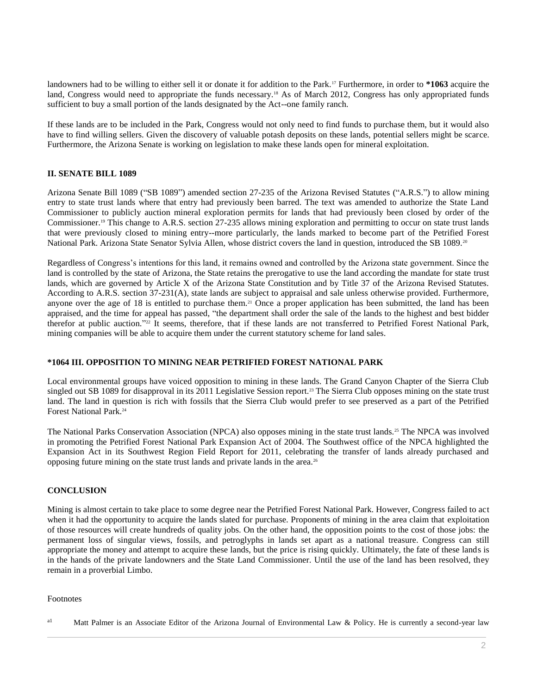landowners had to be willing to either sell it or donate it for addition to the Park.<sup>17</sup> Furthermore, in order to \*1063 acquire the land, Congress would need to appropriate the funds necessary.<sup>18</sup> As of March 2012, Congress has only appropriated funds sufficient to buy a small portion of the lands designated by the Act--one family ranch.

If these lands are to be included in the Park, Congress would not only need to find funds to purchase them, but it would also have to find willing sellers. Given the discovery of valuable potash deposits on these lands, potential sellers might be scarce. Furthermore, the Arizona Senate is working on legislation to make these lands open for mineral exploitation.

### **II. SENATE BILL 1089**

Arizona Senate Bill 1089 ("SB 1089") amended [section 27-235 of the Arizona Revised Statutes](http://www.westlaw.com/Link/Document/FullText?findType=L&pubNum=1000251&cite=AZSTS27-235&originatingDoc=I1ed640ec8c6911e498db8b09b4f043e0&refType=LQ&originationContext=document&vr=3.0&rs=cblt1.0&transitionType=DocumentItem&contextData=(sc.Search)) ("A.R.S.") to allow mining entry to state trust lands where that entry had previously been barred. The text was amended to authorize the State Land Commissioner to publicly auction mineral exploration permits for lands that had previously been closed by order of the Commissioner.<sup>19</sup> This change to [A.R.S. section 27-235](http://www.westlaw.com/Link/Document/FullText?findType=L&pubNum=1000251&cite=AZSTS27-235&originatingDoc=I1ed640ec8c6911e498db8b09b4f043e0&refType=LQ&originationContext=document&vr=3.0&rs=cblt1.0&transitionType=DocumentItem&contextData=(sc.Search)) allows mining exploration and permitting to occur on state trust lands that were previously closed to mining entry--more particularly, the lands marked to become part of the Petrified Forest National Park. Arizona State Senator Sylvia Allen, whose district covers the land in question, introduced the SB 1089.<sup>20</sup>

Regardless of Congress's intentions for this land, it remains owned and controlled by the Arizona state government. Since the land is controlled by the state of Arizona, the State retains the prerogative to use the land according the mandate for state trust lands, which are governed by Article X of the Arizona State Constitution and by Title 37 of the Arizona Revised Statutes. According to [A.R.S. section 37-231\(A\),](http://www.westlaw.com/Link/Document/FullText?findType=L&pubNum=1000251&cite=AZSTS37-231&originatingDoc=I1ed640ec8c6911e498db8b09b4f043e0&refType=LQ&originationContext=document&vr=3.0&rs=cblt1.0&transitionType=DocumentItem&contextData=(sc.Search)) state lands are subject to appraisal and sale unless otherwise provided. Furthermore, anyone over the age of 18 is entitled to purchase them.<sup>21</sup> Once a proper application has been submitted, the land has been appraised, and the time for appeal has passed, "the department shall order the sale of the lands to the highest and best bidder therefor at public auction." <sup>22</sup> It seems, therefore, that if these lands are not transferred to Petrified Forest National Park, mining companies will be able to acquire them under the current statutory scheme for land sales.

### **\*1064 III. OPPOSITION TO MINING NEAR PETRIFIED FOREST NATIONAL PARK**

Local environmental groups have voiced opposition to mining in these lands. The Grand Canyon Chapter of the Sierra Club singled out SB 1089 for disapproval in its 2011 Legislative Session report.<sup>23</sup> The Sierra Club opposes mining on the state trust land. The land in question is rich with fossils that the Sierra Club would prefer to see preserved as a part of the Petrified Forest National Park.<sup>24</sup>

The National Parks Conservation Association (NPCA) also opposes mining in the state trust lands.<sup>25</sup> The NPCA was involved in promoting the Petrified Forest National Park Expansion Act of 2004. The Southwest office of the NPCA highlighted the Expansion Act in its Southwest Region Field Report for 2011, celebrating the transfer of lands already purchased and opposing future mining on the state trust lands and private lands in the area.<sup>26</sup>

## **CONCLUSION**

Mining is almost certain to take place to some degree near the Petrified Forest National Park. However, Congress failed to act when it had the opportunity to acquire the lands slated for purchase. Proponents of mining in the area claim that exploitation of those resources will create hundreds of quality jobs. On the other hand, the opposition points to the cost of those jobs: the permanent loss of singular views, fossils, and petroglyphs in lands set apart as a national treasure. Congress can still appropriate the money and attempt to acquire these lands, but the price is rising quickly. Ultimately, the fate of these lands is in the hands of the private landowners and the State Land Commissioner. Until the use of the land has been resolved, they remain in a proverbial Limbo.

### Footnotes

<sup>&</sup>lt;sup>a1</sup> Matt Palmer is an Associate Editor of the Arizona Journal of Environmental Law & Policy. He is currently a second-year law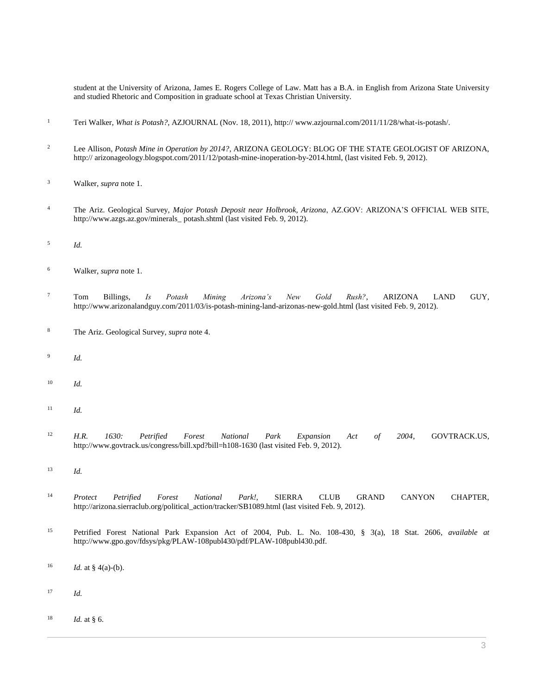student at the University of Arizona, James E. Rogers College of Law. Matt has a B.A. in English from Arizona State University and studied Rhetoric and Composition in graduate school at Texas Christian University.

- Teri Walker, *What is Potash?*, AZJOURNAL (Nov. 18, 2011), http:// www.azjournal.com/2011/11/28/what-is-potash/.
- Lee Allison, *Potash Mine in Operation by 2014?*, ARIZONA GEOLOGY: BLOG OF THE STATE GEOLOGIST OF ARIZONA, http:// arizonageology.blogspot.com/2011/12/potash-mine-inoperation-by-2014.html, (last visited Feb. 9, 2012).
- Walker, *supra* note 1.
- The Ariz. Geological Survey, *Major Potash Deposit near Holbrook, Arizona*, AZ.GOV: ARIZONA'S OFFICIAL WEB SITE, http://www.azgs.az.gov/minerals\_ potash.shtml (last visited Feb. 9, 2012).
- *Id.*
- Walker, *supra* note 1.
- Tom Billings, *Is Potash Mining Arizona's New Gold Rush?*, ARIZONA LAND GUY, http://www.arizonalandguy.com/2011/03/is-potash-mining-land-arizonas-new-gold.html (last visited Feb. 9, 2012).
- The Ariz. Geological Survey, *supra* note 4.
- *Id.*
- *Id.*
- *Id.*
- *H.R. 1630: Petrified Forest National Park Expansion Act of 2004*, GOVTRACK.US, http://www.govtrack.us/congress/bill.xpd?bill=h108-1630 (last visited Feb. 9, 2012).
- *Id.*
- *Protect Petrified Forest National Park!*, SIERRA CLUB GRAND CANYON CHAPTER, http://arizona.sierraclub.org/political\_action/tracker/SB1089.html (last visited Feb. 9, 2012).
- Petrified Forest National Park Expansion Act of 2004, [Pub. L. No. 108-430, § 3\(a\), 18 Stat. 2606,](http://www.westlaw.com/Link/Document/FullText?findType=l&pubNum=1077005&cite=UUID(I74A9D67048-6311D99A02E-E6B583008FF)&originatingDoc=I1ed640ec8c6911e498db8b09b4f043e0&refType=SL&originationContext=document&vr=3.0&rs=cblt1.0&transitionType=DocumentItem&contextData=(sc.Search)) *available at* http://www.gpo.gov/fdsys/pkg/PLAW-108publ430/pdf/PLAW-108publ430.pdf.
- <sup>16</sup> *Id.* at § 4(a)-(b).
- *Id.*
- *Id.* at § 6.